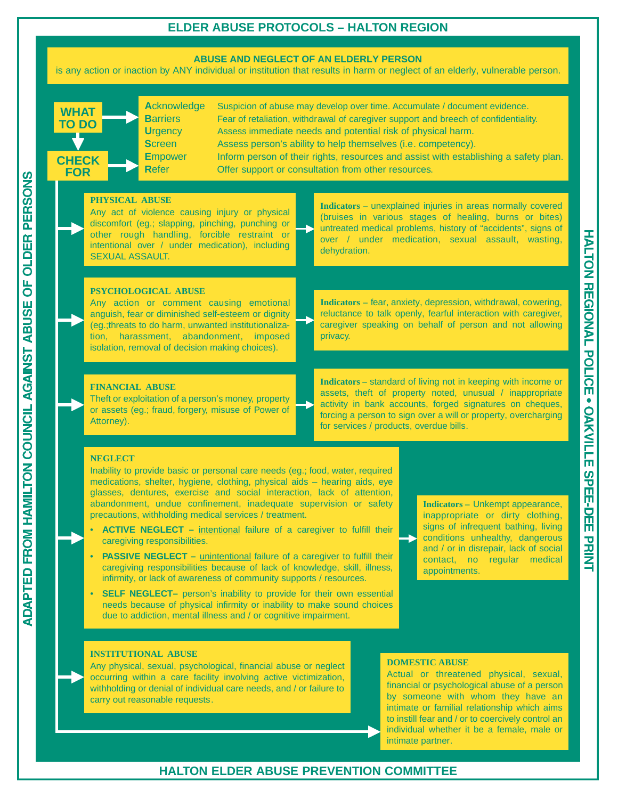# **ELDER ABUSE PROTOCOLS – HALTON REGION**

## **ABUSE AND NEGLECT OF AN ELDERLY PERSON**

is any action or inaction by ANY individual or institution that results in harm or neglect of an elderly, vulnerable person.

| <b>WHAT</b><br><b>TO DO</b><br><b>CHECK</b><br><b>FOR</b> |                                                                                                                                                                                                                                                                                                                                                                                                                                                                                                                                                                                                                                                                                                                                                                                                                                                                                                                                                                                                                                                                                                                                                                               | <b>Acknowledge</b><br><b>Barriers</b><br><b>Urgency</b><br><b>Screen</b><br><b>Empower</b><br><b>Refer</b> | Assess immediate needs and potential risk of physical harm.<br>Assess person's ability to help themselves (i.e. competency).<br>Offer support or consultation from other resources.                  |                                         | Suspicion of abuse may develop over time. Accumulate / document evidence.<br>Fear of retaliation, withdrawal of caregiver support and breech of confidentiality.<br>Inform person of their rights, resources and assist with establishing a safety plan. |
|-----------------------------------------------------------|-------------------------------------------------------------------------------------------------------------------------------------------------------------------------------------------------------------------------------------------------------------------------------------------------------------------------------------------------------------------------------------------------------------------------------------------------------------------------------------------------------------------------------------------------------------------------------------------------------------------------------------------------------------------------------------------------------------------------------------------------------------------------------------------------------------------------------------------------------------------------------------------------------------------------------------------------------------------------------------------------------------------------------------------------------------------------------------------------------------------------------------------------------------------------------|------------------------------------------------------------------------------------------------------------|------------------------------------------------------------------------------------------------------------------------------------------------------------------------------------------------------|-----------------------------------------|----------------------------------------------------------------------------------------------------------------------------------------------------------------------------------------------------------------------------------------------------------|
|                                                           | <b>PHYSICAL ABUSE</b><br><b>SEXUAL ASSAULT.</b>                                                                                                                                                                                                                                                                                                                                                                                                                                                                                                                                                                                                                                                                                                                                                                                                                                                                                                                                                                                                                                                                                                                               |                                                                                                            | Any act of violence causing injury or physical<br>discomfort (eg.; slapping, pinching, punching or<br>other rough handling, forcible restraint or<br>intentional over / under medication), including | dehydration.                            | Indicators - unexplained injuries in areas normally covered<br>(bruises in various stages of healing, burns or bites)<br>untreated medical problems, history of "accidents", signs of<br>over / under medication, sexual assault, wasting,               |
|                                                           | <b>PSYCHOLOGICAL ABUSE</b><br>Indicators - fear, anxiety, depression, withdrawal, cowering,<br>Any action or comment causing emotional<br>reluctance to talk openly, fearful interaction with caregiver,<br>anguish, fear or diminished self-esteem or dignity<br>caregiver speaking on behalf of person and not allowing<br>(eg.; threats to do harm, unwanted institutionaliza-<br>tion, harassment, abandonment, imposed<br>privacy.<br>isolation, removal of decision making choices).                                                                                                                                                                                                                                                                                                                                                                                                                                                                                                                                                                                                                                                                                    |                                                                                                            |                                                                                                                                                                                                      |                                         |                                                                                                                                                                                                                                                          |
|                                                           | <b>FINANCIAL ABUSE</b><br>Theft or exploitation of a person's money, property<br>or assets (eg.; fraud, forgery, misuse of Power of<br>Attorney).                                                                                                                                                                                                                                                                                                                                                                                                                                                                                                                                                                                                                                                                                                                                                                                                                                                                                                                                                                                                                             |                                                                                                            |                                                                                                                                                                                                      | for services / products, overdue bills. | Indicators - standard of living not in keeping with income or<br>assets, theft of property noted, unusual / inappropriate<br>activity in bank accounts, forged signatures on cheques,<br>forcing a person to sign over a will or property, overcharging  |
|                                                           | <b>NEGLECT</b><br>Inability to provide basic or personal care needs (eg.; food, water, required<br>medications, shelter, hygiene, clothing, physical aids - hearing aids, eye<br>glasses, dentures, exercise and social interaction, lack of attention,<br>abandonment, undue confinement, inadequate supervision or safety<br><b>Indicators</b> - Unkempt appearance,<br>precautions, withholding medical services / treatment.<br>inappropriate or dirty clothing,<br>signs of infrequent bathing, living<br>$\bullet$<br><b>ACTIVE NEGLECT</b> - intentional failure of a caregiver to fulfill their<br>conditions unhealthy, dangerous<br>caregiving responsibilities.<br>and / or in disrepair, lack of social<br><b>PASSIVE NEGLECT</b> - <i>unintentional</i> failure of a caregiver to fulfill their<br>$\bullet$<br>contact, no regular medical<br>caregiving responsibilities because of lack of knowledge, skill, illness,<br>appointments.<br>infirmity, or lack of awareness of community supports / resources.<br>SELF NEGLECT- person's inability to provide for their own essential<br>needs because of physical infirmity or inability to make sound choices |                                                                                                            |                                                                                                                                                                                                      |                                         |                                                                                                                                                                                                                                                          |

#### **INSTITUTIONAL ABUSE**

**OLDER PERSONS** 

 $\overline{a}$ 

FROM HAMILTON COUNCIL AGAINST ABUSE

**ADAPTED** 

Any physical, sexual, psychological, financial abuse or neglect occurring within a care facility involving active victimization, withholding or denial of individual care needs, and / or failure to carry out reasonable requests.

due to addiction, mental illness and / or cognitive impairment.

## **DOMESTIC ABUSE**

Actual or threatened physical, sexual, financial or psychological abuse of a person by someone with whom they have an intimate or familial relationship which aims to instill fear and / or to coercively control an individual whether it be a female, male or intimate partner.

# **HALTON ELDER ABUSE PREVENTION COMMITTEE**